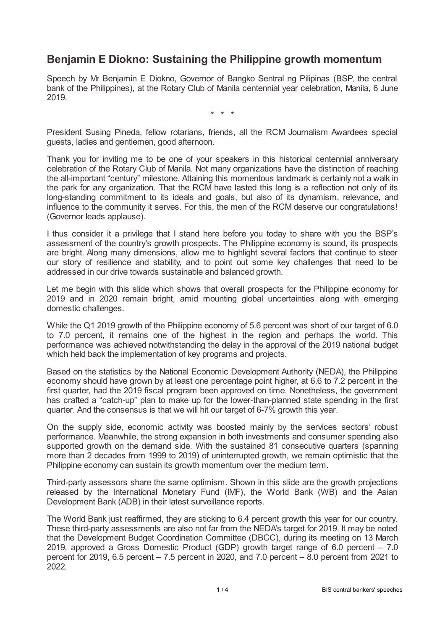## **Benjamin E Diokno: Sustaining the Philippine growth momentum**

Speech by Mr Benjamin E Diokno, Governor of Bangko Sentral ng Pilipinas (BSP, the central bank of the Philippines), at the Rotary Club of Manila centennial year celebration, Manila, 6 June 2019.

\* \* \*

President Susing Pineda, fellow rotarians, friends, all the RCM Journalism Awardees special guests, ladies and gentlemen, good afternoon.

Thank you for inviting me to be one of your speakers in this historical centennial anniversary celebration of the Rotary Club of Manila. Not many organizations have the distinction of reaching the all-important "century" milestone. Attaining this momentous landmark is certainly not a walk in the park for any organization. That the RCM have lasted this long is a reflection not only of its long-standing commitment to its ideals and goals, but also of its dynamism, relevance, and influence to the community it serves. For this, the men of the RCM deserve our congratulations! (Governor leads applause).

I thus consider it a privilege that I stand here before you today to share with you the BSP's assessment of the country's growth prospects. The Philippine economy is sound, its prospects are bright. Along many dimensions, allow me to highlight several factors that continue to steer our story of resilience and stability, and to point out some key challenges that need to be addressed in our drive towards sustainable and balanced growth.

Let me begin with this slide which shows that overall prospects for the Philippine economy for 2019 and in 2020 remain bright, amid mounting global uncertainties along with emerging domestic challenges.

While the Q1 2019 growth of the Philippine economy of 5.6 percent was short of our target of 6.0 to 7.0 percent, it remains one of the highest in the region and perhaps the world. This performance was achieved notwithstanding the delay in the approval of the 2019 national budget which held back the implementation of key programs and projects.

Based on the statistics by the National Economic Development Authority (NEDA), the Philippine economy should have grown by at least one percentage point higher, at 6.6 to 7.2 percent in the first quarter, had the 2019 fiscal program been approved on time. Nonetheless, the government has crafted a "catch-up" plan to make up for the lower-than-planned state spending in the first quarter. And the consensus is that we will hit our target of 6-7% growth this year.

On the supply side, economic activity was boosted mainly by the services sectors' robust performance. Meanwhile, the strong expansion in both investments and consumer spending also supported growth on the demand side. With the sustained 81 consecutive quarters (spanning more than 2 decades from 1999 to 2019) of uninterrupted growth, we remain optimistic that the Philippine economy can sustain its growth momentum over the medium term.

Third-party assessors share the same optimism. Shown in this slide are the growth projections released by the International Monetary Fund (IMF), the World Bank (WB) and the Asian Development Bank (ADB) in their latest surveillance reports.

The World Bank just reaffirmed, they are sticking to 6.4 percent growth this year for our country. These third-party assessments are also not far from the NEDA's target for 2019. It may be noted that the Development Budget Coordination Committee (DBCC), during its meeting on 13 March 2019, approved a Gross Domestic Product (GDP) growth target range of 6.0 percent – 7.0 percent for 2019, 6.5 percent – 7.5 percent in 2020, and 7.0 percent – 8.0 percent from 2021 to 2022.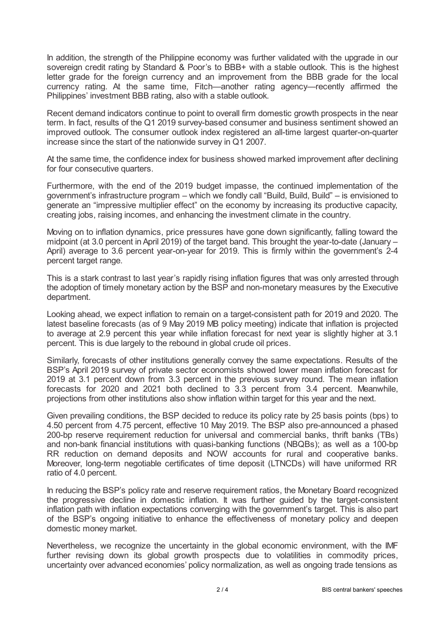In addition, the strength of the Philippine economy was further validated with the upgrade in our sovereign credit rating by Standard & Poor's to BBB+ with a stable outlook. This is the highest letter grade for the foreign currency and an improvement from the BBB grade for the local currency rating. At the same time, Fitch—another rating agency—recently affirmed the Philippines' investment BBB rating, also with a stable outlook.

Recent demand indicators continue to point to overall firm domestic growth prospects in the near term. In fact, results of the Q1 2019 survey-based consumer and business sentiment showed an improved outlook. The consumer outlook index registered an all-time largest quarter-on-quarter increase since the start of the nationwide survey in Q1 2007.

At the same time, the confidence index for business showed marked improvement after declining for four consecutive quarters.

Furthermore, with the end of the 2019 budget impasse, the continued implementation of the government's infrastructure program – which we fondly call "Build, Build, Build" – is envisioned to generate an "impressive multiplier effect" on the economy by increasing its productive capacity, creating jobs, raising incomes, and enhancing the investment climate in the country.

Moving on to inflation dynamics, price pressures have gone down significantly, falling toward the midpoint (at 3.0 percent in April 2019) of the target band. This brought the year-to-date (January – April) average to 3.6 percent year-on-year for 2019. This is firmly within the government's 2-4 percent target range.

This is a stark contrast to last year's rapidly rising inflation figures that was only arrested through the adoption of timely monetary action by the BSP and non-monetary measures by the Executive department.

Looking ahead, we expect inflation to remain on a target-consistent path for 2019 and 2020. The latest baseline forecasts (as of 9 May 2019 MB policy meeting) indicate that inflation is projected to average at 2.9 percent this year while inflation forecast for next year is slightly higher at 3.1 percent. This is due largely to the rebound in global crude oil prices.

Similarly, forecasts of other institutions generally convey the same expectations. Results of the BSP's April 2019 survey of private sector economists showed lower mean inflation forecast for 2019 at 3.1 percent down from 3.3 percent in the previous survey round. The mean inflation forecasts for 2020 and 2021 both declined to 3.3 percent from 3.4 percent. Meanwhile, projections from other institutions also show inflation within target for this year and the next.

Given prevailing conditions, the BSP decided to reduce its policy rate by 25 basis points (bps) to 4.50 percent from 4.75 percent, effective 10 May 2019. The BSP also pre-announced a phased 200-bp reserve requirement reduction for universal and commercial banks, thrift banks (TBs) and non-bank financial institutions with quasi-banking functions (NBQBs); as well as a 100-bp RR reduction on demand deposits and NOW accounts for rural and cooperative banks. Moreover, long-term negotiable certificates of time deposit (LTNCDs) will have uniformed RR ratio of 4.0 percent.

In reducing the BSP's policy rate and reserve requirement ratios, the Monetary Board recognized the progressive decline in domestic inflation. It was further guided by the target-consistent inflation path with inflation expectations converging with the government's target. This is also part of the BSP's ongoing initiative to enhance the effectiveness of monetary policy and deepen domestic money market.

Nevertheless, we recognize the uncertainty in the global economic environment, with the IMF further revising down its global growth prospects due to volatilities in commodity prices, uncertainty over advanced economies' policy normalization, as well as ongoing trade tensions as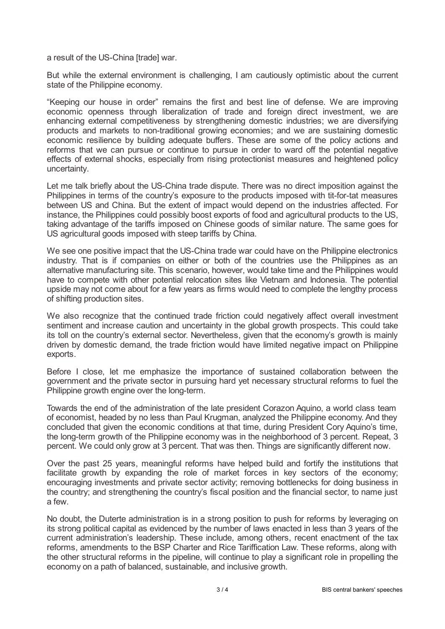a result of the US-China [trade] war.

But while the external environment is challenging, I am cautiously optimistic about the current state of the Philippine economy.

"Keeping our house in order" remains the first and best line of defense. We are improving economic openness through liberalization of trade and foreign direct investment, we are enhancing external competitiveness by strengthening domestic industries; we are diversifying products and markets to non-traditional growing economies; and we are sustaining domestic economic resilience by building adequate buffers. These are some of the policy actions and reforms that we can pursue or continue to pursue in order to ward off the potential negative effects of external shocks, especially from rising protectionist measures and heightened policy uncertainty.

Let me talk briefly about the US-China trade dispute. There was no direct imposition against the Philippines in terms of the country's exposure to the products imposed with tit-for-tat measures between US and China. But the extent of impact would depend on the industries affected. For instance, the Philippines could possibly boost exports of food and agricultural products to the US, taking advantage of the tariffs imposed on Chinese goods of similar nature. The same goes for US agricultural goods imposed with steep tariffs by China.

We see one positive impact that the US-China trade war could have on the Philippine electronics industry. That is if companies on either or both of the countries use the Philippines as an alternative manufacturing site. This scenario, however, would take time and the Philippines would have to compete with other potential relocation sites like Vietnam and Indonesia. The potential upside may not come about for a few years as firms would need to complete the lengthy process of shifting production sites.

We also recognize that the continued trade friction could negatively affect overall investment sentiment and increase caution and uncertainty in the global growth prospects. This could take its toll on the country's external sector. Nevertheless, given that the economy's growth is mainly driven by domestic demand, the trade friction would have limited negative impact on Philippine exports.

Before I close, let me emphasize the importance of sustained collaboration between the government and the private sector in pursuing hard yet necessary structural reforms to fuel the Philippine growth engine over the long-term.

Towards the end of the administration of the late president Corazon Aquino, a world class team of economist, headed by no less than Paul Krugman, analyzed the Philippine economy. And they concluded that given the economic conditions at that time, during President Cory Aquino's time, the long-term growth of the Philippine economy was in the neighborhood of 3 percent. Repeat, 3 percent. We could only grow at 3 percent. That was then. Things are significantly different now.

Over the past 25 years, meaningful reforms have helped build and fortify the institutions that facilitate growth by expanding the role of market forces in key sectors of the economy; encouraging investments and private sector activity; removing bottlenecks for doing business in the country; and strengthening the country's fiscal position and the financial sector, to name just a few.

No doubt, the Duterte administration is in a strong position to push for reforms by leveraging on its strong political capital as evidenced by the number of laws enacted in less than 3 years of the current administration's leadership. These include, among others, recent enactment of the tax reforms, amendments to the BSP Charter and Rice Tariffication Law. These reforms, along with the other structural reforms in the pipeline, will continue to play a significant role in propelling the economy on a path of balanced, sustainable, and inclusive growth.